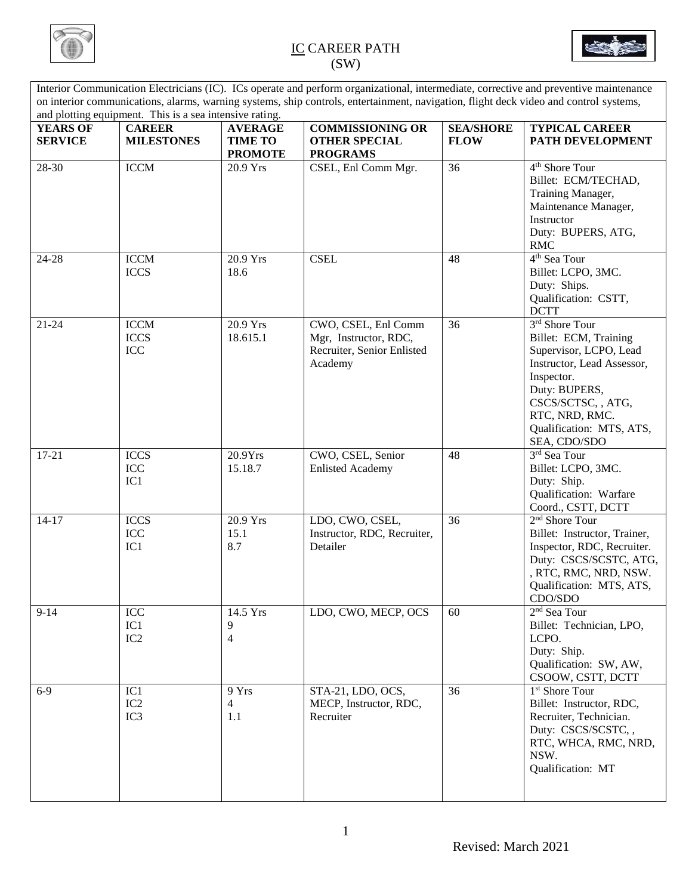



Interior Communication Electricians (IC). ICs operate and perform organizational, intermediate, corrective and preventive maintenance on interior communications, alarms, warning systems, ship controls, entertainment, navigation, flight deck video and control systems, and plotting equipment. This is a sea intensive rating. **YEARS OF SERVICE CAREER MILESTONES AVERAGE TIME TO PROMOTE COMMISSIONING OR OTHER SPECIAL PROGRAMS SEA/SHORE FLOW TYPICAL CAREER PATH DEVELOPMENT** 28-30 ICCM 20.9 Yrs CSEL, Enl Comm Mgr. 36 4<sup>th</sup> Shore Tour Billet: ECM/TECHAD, Training Manager, Maintenance Manager, Instructor Duty: BUPERS, ATG, RMC 24-28 ICCM ICCS 20.9 Yrs 18.6 CSEL 48 4<sup>th</sup> Sea Tour Billet: LCPO, 3MC. Duty: Ships. Qualification: CSTT, **DCTT** 21-24 ICCM ICCS ICC 20.9 Yrs 18.615.1 CWO, CSEL, Enl Comm Mgr, Instructor, RDC, Recruiter, Senior Enlisted Academy 36 3 3<sup>rd</sup> Shore Tour Billet: ECM, Training Supervisor, LCPO, Lead Instructor, Lead Assessor, Inspector. Duty: BUPERS, CSCS/SCTSC, , ATG, RTC, NRD, RMC. Qualification: MTS, ATS, SEA, CDO/SDO 17-21 ICCS ICC IC1 20.9Yrs 15.18.7 CWO, CSEL, Senior Enlisted Academy 48 3<sup>rd</sup> Sea Tour Billet: LCPO, 3MC. Duty: Ship. Qualification: Warfare Coord., CSTT, DCTT 14-17 ICCS ICC IC1 20.9 Yrs 15.1 8.7 LDO, CWO, CSEL, Instructor, RDC, Recruiter, Detailer 36  $2<sup>nd</sup>$  Shore Tour Billet: Instructor, Trainer, Inspector, RDC, Recruiter. Duty: CSCS/SCSTC, ATG, , RTC, RMC, NRD, NSW. Qualification: MTS, ATS, CDO/SDO 9-14 ICC IC1 IC2 14.5 Yrs 9 4 LDO, CWO, MECP, OCS  $\begin{array}{|c|c|}$  60  $2<sup>nd</sup>$  Sea Tour Billet: Technician, LPO, LCPO. Duty: Ship. Qualification: SW, AW, CSOOW, CSTT, DCTT  $6-9$  IC1 IC2 IC3 9 Yrs 4 1.1 STA-21, LDO, OCS, MECP, Instructor, RDC, Recruiter 36 1 1<sup>st</sup> Shore Tour Billet: Instructor, RDC, Recruiter, Technician. Duty: CSCS/SCSTC, , RTC, WHCA, RMC, NRD, NSW. Qualification: MT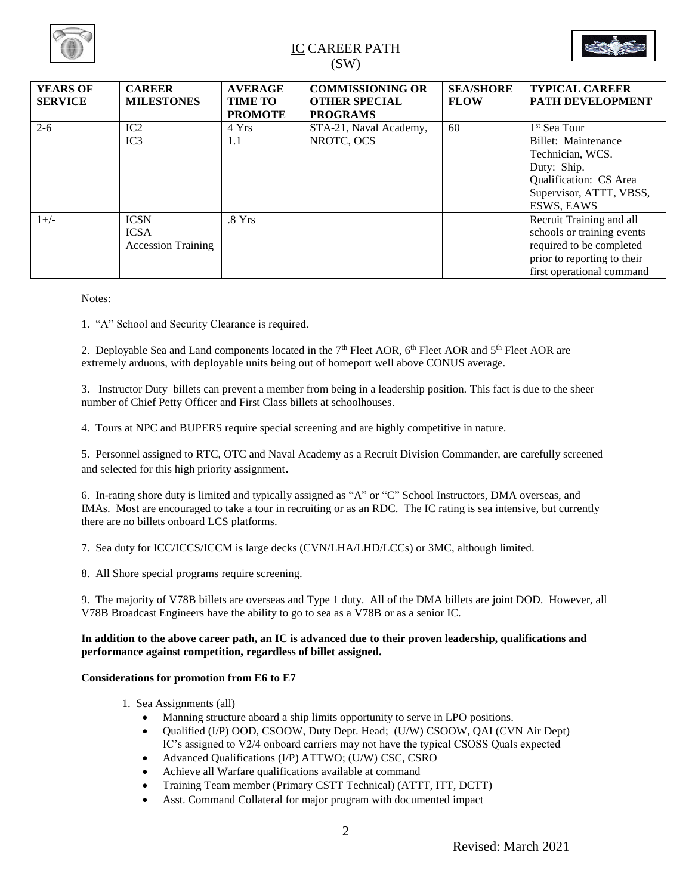



| <b>YEARS OF</b><br><b>SERVICE</b> | <b>CAREER</b><br><b>MILESTONES</b>                      | <b>AVERAGE</b><br><b>TIME TO</b><br><b>PROMOTE</b> | <b>COMMISSIONING OR</b><br><b>OTHER SPECIAL</b><br><b>PROGRAMS</b> | <b>SEA/SHORE</b><br><b>FLOW</b> | <b>TYPICAL CAREER</b><br><b>PATH DEVELOPMENT</b>                                                                                                      |
|-----------------------------------|---------------------------------------------------------|----------------------------------------------------|--------------------------------------------------------------------|---------------------------------|-------------------------------------------------------------------------------------------------------------------------------------------------------|
| $2 - 6$                           | IC2<br>IC3                                              | 4 Yrs<br>1.1                                       | STA-21, Naval Academy,<br>NROTC, OCS                               | 60                              | 1 <sup>st</sup> Sea Tour<br>Billet: Maintenance<br>Technician, WCS.<br>Duty: Ship.<br>Qualification: CS Area<br>Supervisor, ATTT, VBSS,<br>ESWS, EAWS |
| $1+/-$                            | <b>ICSN</b><br><b>ICSA</b><br><b>Accession Training</b> | .8Yrs                                              |                                                                    |                                 | Recruit Training and all<br>schools or training events<br>required to be completed<br>prior to reporting to their<br>first operational command        |

Notes:

1. "A" School and Security Clearance is required.

2. Deployable Sea and Land components located in the 7<sup>th</sup> Fleet AOR, 6<sup>th</sup> Fleet AOR and 5<sup>th</sup> Fleet AOR are extremely arduous, with deployable units being out of homeport well above CONUS average.

3. Instructor Duty billets can prevent a member from being in a leadership position. This fact is due to the sheer number of Chief Petty Officer and First Class billets at schoolhouses.

4. Tours at NPC and BUPERS require special screening and are highly competitive in nature.

5. Personnel assigned to RTC, OTC and Naval Academy as a Recruit Division Commander, are carefully screened and selected for this high priority assignment.

6. In-rating shore duty is limited and typically assigned as "A" or "C" School Instructors, DMA overseas, and IMAs. Most are encouraged to take a tour in recruiting or as an RDC. The IC rating is sea intensive, but currently there are no billets onboard LCS platforms.

7. Sea duty for ICC/ICCS/ICCM is large decks (CVN/LHA/LHD/LCCs) or 3MC, although limited.

8. All Shore special programs require screening.

9. The majority of V78B billets are overseas and Type 1 duty. All of the DMA billets are joint DOD. However, all V78B Broadcast Engineers have the ability to go to sea as a V78B or as a senior IC.

#### **In addition to the above career path, an IC is advanced due to their proven leadership, qualifications and performance against competition, regardless of billet assigned.**

#### **Considerations for promotion from E6 to E7**

- 1. Sea Assignments (all)
	- Manning structure aboard a ship limits opportunity to serve in LPO positions.
	- Qualified (I/P) OOD, CSOOW, Duty Dept. Head; (U/W) CSOOW, QAI (CVN Air Dept) IC's assigned to V2/4 onboard carriers may not have the typical CSOSS Quals expected
	- Advanced Qualifications (I/P) ATTWO; (U/W) CSC, CSRO
	- Achieve all Warfare qualifications available at command
	- Training Team member (Primary CSTT Technical) (ATTT, ITT, DCTT)
	- Asst. Command Collateral for major program with documented impact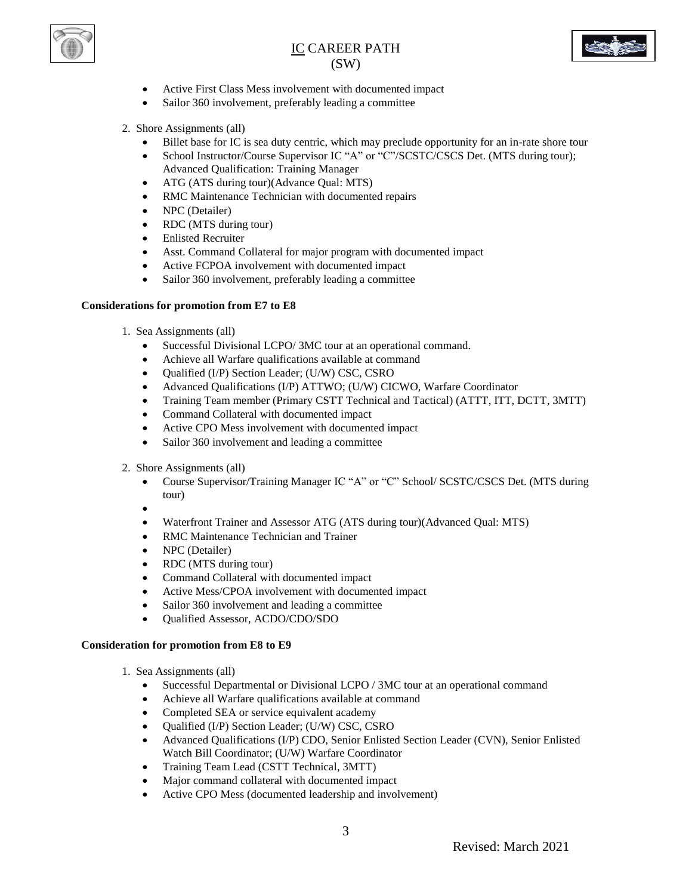



- Active First Class Mess involvement with documented impact
- Sailor 360 involvement, preferably leading a committee
- 2. Shore Assignments (all)
	- Billet base for IC is sea duty centric, which may preclude opportunity for an in-rate shore tour
	- School Instructor/Course Supervisor IC "A" or "C"/SCSTC/CSCS Det. (MTS during tour); Advanced Qualification: Training Manager
	- ATG (ATS during tour)(Advance Qual: MTS)
	- RMC Maintenance Technician with documented repairs
	- NPC (Detailer)
	- RDC (MTS during tour)
	- Enlisted Recruiter
	- Asst. Command Collateral for major program with documented impact
	- Active FCPOA involvement with documented impact
	- Sailor 360 involvement, preferably leading a committee

#### **Considerations for promotion from E7 to E8**

- 1. Sea Assignments (all)
	- Successful Divisional LCPO/ 3MC tour at an operational command.
	- Achieve all Warfare qualifications available at command
	- Qualified (I/P) Section Leader; (U/W) CSC, CSRO
	- Advanced Qualifications (I/P) ATTWO; (U/W) CICWO, Warfare Coordinator
	- Training Team member (Primary CSTT Technical and Tactical) (ATTT, ITT, DCTT, 3MTT)
	- Command Collateral with documented impact
	- Active CPO Mess involvement with documented impact
	- Sailor 360 involvement and leading a committee
- 2. Shore Assignments (all)
	- Course Supervisor/Training Manager IC "A" or "C" School/ SCSTC/CSCS Det. (MTS during tour)
	- $\bullet$
	- Waterfront Trainer and Assessor ATG (ATS during tour)(Advanced Qual: MTS)
	- RMC Maintenance Technician and Trainer
	- NPC (Detailer)
	- RDC (MTS during tour)
	- Command Collateral with documented impact
	- Active Mess/CPOA involvement with documented impact
	- Sailor 360 involvement and leading a committee
	- Qualified Assessor, ACDO/CDO/SDO

#### **Consideration for promotion from E8 to E9**

- 1. Sea Assignments (all)
	- Successful Departmental or Divisional LCPO / 3MC tour at an operational command
	- Achieve all Warfare qualifications available at command
	- Completed SEA or service equivalent academy
	- Qualified (I/P) Section Leader; (U/W) CSC, CSRO
	- Advanced Qualifications (I/P) CDO, Senior Enlisted Section Leader (CVN), Senior Enlisted Watch Bill Coordinator; (U/W) Warfare Coordinator
	- Training Team Lead (CSTT Technical, 3MTT)
	- Major command collateral with documented impact
	- Active CPO Mess (documented leadership and involvement)